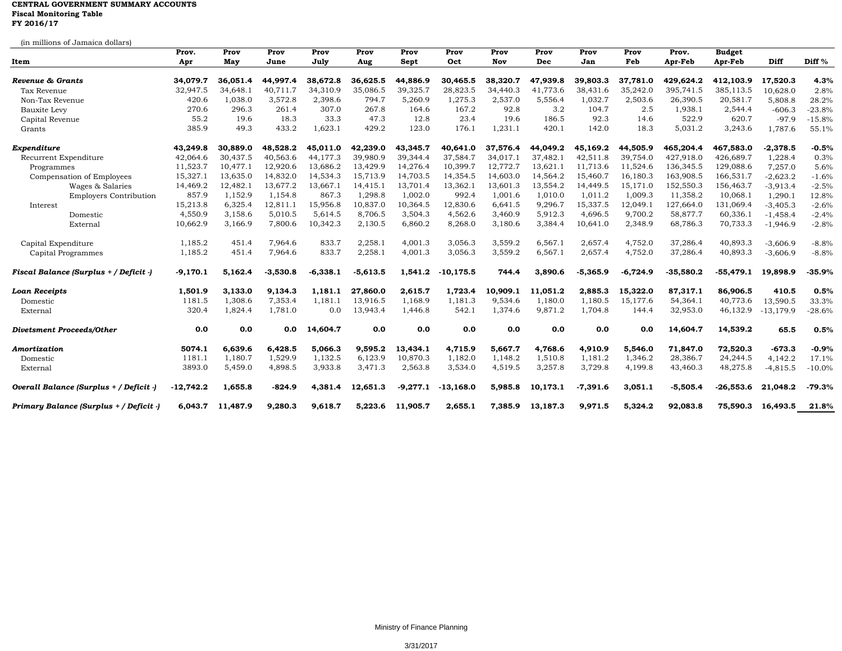## **CENTRAL GOVERNMENT SUMMARY ACCOUNTS Fiscal Monitoring Table FY 2016/17**

|                                         | Prov.      | Prov     | Prov       | Prov       | Prov       | Prov       | Prov        | Prov     | Prov     | Prov       | Prov       | Prov.       | <b>Budget</b> |             |                   |
|-----------------------------------------|------------|----------|------------|------------|------------|------------|-------------|----------|----------|------------|------------|-------------|---------------|-------------|-------------------|
| Item                                    | Apr        | May      | June       | July       | Aug        | Sept       | Oct         | Nov      | Dec      | Jan        | Feb        | Apr-Feb     | Apr-Feb       | Diff        | Diff <sup>%</sup> |
| Revenue & Grants                        | 34,079.7   | 36,051.4 | 44,997.4   | 38,672.8   | 36,625.5   | 44,886.9   | 30.465.5    | 38,320.7 | 47,939.8 | 39,803.3   | 37.781.0   | 429,624.2   | 412,103.9     | 17,520.3    | 4.3%              |
| Tax Revenue                             | 32,947.5   | 34,648.1 | 40,711.7   | 34,310.9   | 35,086.5   | 39,325.7   | 28,823.5    | 34,440.3 | 41,773.6 | 38,431.6   | 35,242.0   | 395,741.5   | 385,113.5     | 10,628.0    | 2.8%              |
| Non-Tax Revenue                         | 420.6      | 1,038.0  | 3,572.8    | 2,398.6    | 794.7      | 5,260.9    | 1,275.3     | 2,537.0  | 5,556.4  | 1,032.7    | 2,503.6    | 26,390.5    | 20,581.7      | 5,808.8     | 28.2%             |
| Bauxite Levy                            | 270.6      | 296.3    | 261.4      | 307.0      | 267.8      | 164.6      | 167.2       | 92.8     | 3.2      | 104.7      | 2.5        | 1,938.1     | 2,544.4       | $-606.3$    | $-23.8%$          |
| Capital Revenue                         | 55.2       | 19.6     | 18.3       | 33.3       | 47.3       | 12.8       | 23.4        | 19.6     | 186.5    | 92.3       | 14.6       | 522.9       | 620.7         | $-97.9$     | $-15.8%$          |
| Grants                                  | 385.9      | 49.3     | 433.2      | 1,623.1    | 429.2      | 123.0      | 176.1       | 1,231.1  | 420.1    | 142.0      | 18.3       | 5,031.2     | 3,243.6       | 1,787.6     | 55.1%             |
| Expenditure                             | 43.249.8   | 30.889.0 | 48.528.2   | 45.011.0   | 42.239.0   | 43.345.7   | 40.641.0    | 37,576.4 | 44,049.2 | 45.169.2   | 44,505.9   | 465.204.4   | 467,583.0     | $-2,378.5$  | $-0.5%$           |
| Recurrent Expenditure                   | 42,064.6   | 30.437.5 | 40.563.6   | 44,177.3   | 39,980.9   | 39,344.4   | 37,584.7    | 34,017.1 | 37,482.1 | 42,511.8   | 39.754.0   | 427,918.0   | 426,689.7     | 1,228.4     | 0.3%              |
| Programmes                              | 11,523.7   | 10,477.1 | 12,920.6   | 13,686.2   | 13,429.9   | 14,276.4   | 10,399.7    | 12,772.7 | 13,621.1 | 11,713.6   | 11,524.6   | 136,345.5   | 129,088.6     | 7,257.0     | 5.6%              |
| Compensation of Employees               | 15,327.1   | 13,635.0 | 14,832.0   | 14,534.3   | 15,713.9   | 14,703.5   | 14,354.5    | 14,603.0 | 14,564.2 | 15,460.7   | 16,180.3   | 163,908.5   | 166,531.7     | $-2,623.2$  | $-1.6%$           |
| Wages & Salaries                        | 14,469.2   | 12,482.1 | 13,677.2   | 13,667.1   | 14,415.1   | 13,701.4   | 13,362.1    | 13,601.3 | 13,554.2 | 14,449.5   | 15,171.0   | 152,550.3   | 156,463.7     | $-3,913.4$  | $-2.5%$           |
| <b>Employers Contribution</b>           | 857.9      | 1,152.9  | 1,154.8    | 867.3      | 1,298.8    | 1,002.0    | 992.4       | 1,001.6  | 1,010.0  | 1,011.2    | 1,009.3    | 11,358.2    | 10,068.1      | 1,290.1     | 12.8%             |
| Interest                                | 15,213.8   | 6,325.4  | 12,811.1   | 15,956.8   | 10,837.0   | 10,364.5   | 12,830.6    | 6,641.5  | 9,296.7  | 15,337.5   | 12,049.1   | 127,664.0   | 131,069.4     | $-3,405.3$  | $-2.6%$           |
| Domestic                                | 4,550.9    | 3,158.6  | 5,010.5    | 5,614.5    | 8,706.5    | 3,504.3    | 4,562.6     | 3,460.9  | 5,912.3  | 4,696.5    | 9,700.2    | 58,877.7    | 60,336.1      | $-1,458.4$  | $-2.4%$           |
| External                                | 10,662.9   | 3,166.9  | 7,800.6    | 10,342.3   | 2,130.5    | 6,860.2    | 8,268.0     | 3,180.6  | 3,384.4  | 10,641.0   | 2,348.9    | 68,786.3    | 70,733.3      | $-1,946.9$  | $-2.8%$           |
| Capital Expenditure                     | 1,185.2    | 451.4    | 7.964.6    | 833.7      | 2,258.     | 4,001.3    | 3,056.3     | 3,559.2  | 6,567.1  | 2,657.4    | 4,752.0    | 37,286.4    | 40,893.3      | $-3,606.9$  | $-8.8%$           |
| Capital Programmes                      | 1,185.2    | 451.4    | 7,964.6    | 833.7      | 2,258.1    | 4,001.3    | 3,056.3     | 3,559.2  | 6,567.1  | 2,657.4    | 4,752.0    | 37,286.4    | 40,893.3      | $-3,606.9$  | $-8.8%$           |
| Fiscal Balance (Surplus + / Deficit -)  | $-9,170.1$ | 5.162.4  | $-3,530.8$ | $-6,338.1$ | $-5,613.5$ | 1,541.2    | $-10.175.5$ | 744.4    | 3,890.6  | $-5,365.9$ | $-6,724.9$ | $-35,580.2$ | $-55,479.1$   | 19,898.9    | $-35.9%$          |
| <b>Loan Receipts</b>                    | 1,501.9    | 3,133.0  | 9,134.3    | 1.181.1    | 27,860.0   | 2,615.7    | 1,723.4     | 10,909.1 | 11,051.2 | 2.885.3    | 15,322.0   | 87,317.1    | 86,906.5      | 410.5       | 0.5%              |
| Domestic                                | 1181.5     | 1,308.6  | 7,353.4    | 1,181.1    | 13,916.5   | 1,168.9    | 1,181.3     | 9,534.6  | 1,180.0  | 1,180.5    | 15,177.6   | 54,364.1    | 40,773.6      | 13,590.5    | 33.3%             |
| External                                | 320.4      | 1,824.4  | 1,781.0    | 0.0        | 13,943.4   | 1,446.8    | 542.1       | 1,374.6  | 9,871.2  | 1,704.8    | 144.4      | 32,953.0    | 46,132.9      | $-13,179.9$ | $-28.6%$          |
| <b>Divetsment Proceeds/Other</b>        | 0.0        | 0.0      | 0.0        | 14,604.7   | 0.0        | 0.0        | 0.0         | 0.0      | 0.0      | 0.0        | 0.0        | 14,604.7    | 14,539.2      | 65.5        | 0.5%              |
| Amortization                            | 5074.1     | 6.639.6  | 6,428.5    | 5,066.3    | 9.595.2    | 13,434.1   | 4,715.9     | 5,667.7  | 4,768.6  | 4,910.9    | 5,546.0    | 71,847.0    | 72,520.3      | $-673.3$    | $-0.9%$           |
| Domestic                                | 1181.1     | 1,180.7  | 1,529.9    | 1,132.5    | 6,123.9    | 10,870.3   | 1,182.0     | 1,148.2  | 1,510.8  | 1,181.2    | 1,346.2    | 28,386.7    | 24,244.5      | 4,142.2     | 17.1%             |
| External                                | 3893.0     | 5,459.0  | 4,898.5    | 3,933.8    | 3,471.3    | 2,563.8    | 3,534.0     | 4,519.5  | 3,257.8  | 3,729.8    | 4,199.8    | 43,460.3    | 48,275.8      | $-4,815.5$  | $-10.0%$          |
| Overall Balance (Surplus + / Deficit -  | -12,742.2  | 1,655.8  | $-824.9$   | 4,381.4    | 12,651.3   | $-9,277.1$ | $-13,168.0$ | 5,985.8  | 10,173.1 | $-7,391.6$ | 3,051.1    | $-5,505.4$  | $-26,553.6$   | 21,048.2    | $-79.3%$          |
| Primary Balance (Surplus + / Deficit -) | 6.043.7    | 11,487.9 | 9,280.3    | 9,618.7    | 5,223.6    | 11,905.7   | 2.655.1     | 7,385.9  | 13,187.3 | 9,971.5    | 5,324.2    | 92,083.8    | 75,590.3      | 16,493.5    | 21.8%             |